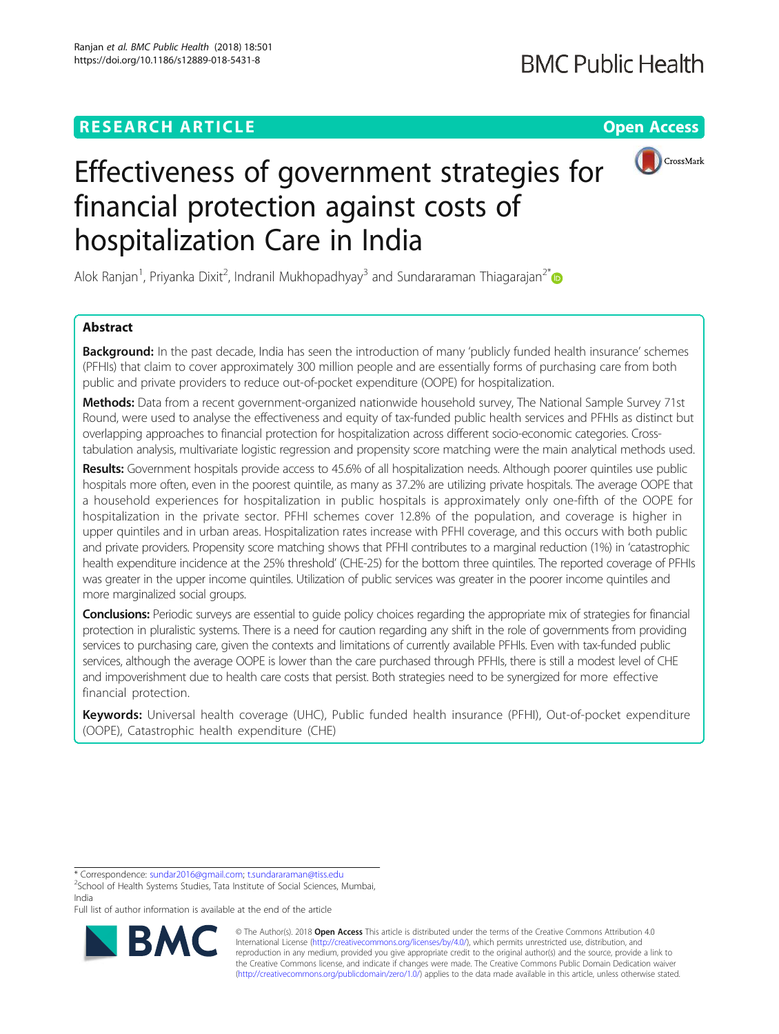# **RESEARCH ARTICLE Example 2014 12:30 The Contract of Contract ACCESS**



# Effectiveness of government strategies for financial protection against costs of hospitalization Care in India

Alok Ranjan $^1$ , Priyanka Dixit $^2$ , Indranil Mukhopadhyay $^3$  and Sundararaman Thiagarajan $^{2^\ast}$ 

# Abstract

Background: In the past decade, India has seen the introduction of many 'publicly funded health insurance' schemes (PFHIs) that claim to cover approximately 300 million people and are essentially forms of purchasing care from both public and private providers to reduce out-of-pocket expenditure (OOPE) for hospitalization.

Methods: Data from a recent government-organized nationwide household survey, The National Sample Survey 71st Round, were used to analyse the effectiveness and equity of tax-funded public health services and PFHIs as distinct but overlapping approaches to financial protection for hospitalization across different socio-economic categories. Crosstabulation analysis, multivariate logistic regression and propensity score matching were the main analytical methods used.

Results: Government hospitals provide access to 45.6% of all hospitalization needs. Although poorer quintiles use public hospitals more often, even in the poorest quintile, as many as 37.2% are utilizing private hospitals. The average OOPE that a household experiences for hospitalization in public hospitals is approximately only one-fifth of the OOPE for hospitalization in the private sector. PFHI schemes cover 12.8% of the population, and coverage is higher in upper quintiles and in urban areas. Hospitalization rates increase with PFHI coverage, and this occurs with both public and private providers. Propensity score matching shows that PFHI contributes to a marginal reduction (1%) in 'catastrophic health expenditure incidence at the 25% threshold' (CHE-25) for the bottom three quintiles. The reported coverage of PFHIs was greater in the upper income quintiles. Utilization of public services was greater in the poorer income quintiles and more marginalized social groups.

Conclusions: Periodic surveys are essential to quide policy choices regarding the appropriate mix of strategies for financial protection in pluralistic systems. There is a need for caution regarding any shift in the role of governments from providing services to purchasing care, given the contexts and limitations of currently available PFHIs. Even with tax-funded public services, although the average OOPE is lower than the care purchased through PFHIs, there is still a modest level of CHE and impoverishment due to health care costs that persist. Both strategies need to be synergized for more effective financial protection.

Keywords: Universal health coverage (UHC), Public funded health insurance (PFHI), Out-of-pocket expenditure (OOPE), Catastrophic health expenditure (CHE)

\* Correspondence: [sundar2016@gmail.com;](mailto:sundar2016@gmail.com) [t.sundararaman@tiss.edu](mailto:t.sundararaman@tiss.edu)

<sup>2</sup>School of Health Systems Studies, Tata Institute of Social Sciences, Mumbai, India

Full list of author information is available at the end of the article



© The Author(s). 2018 **Open Access** This article is distributed under the terms of the Creative Commons Attribution 4.0 International License [\(http://creativecommons.org/licenses/by/4.0/](http://creativecommons.org/licenses/by/4.0/)), which permits unrestricted use, distribution, and reproduction in any medium, provided you give appropriate credit to the original author(s) and the source, provide a link to the Creative Commons license, and indicate if changes were made. The Creative Commons Public Domain Dedication waiver [\(http://creativecommons.org/publicdomain/zero/1.0/](http://creativecommons.org/publicdomain/zero/1.0/)) applies to the data made available in this article, unless otherwise stated.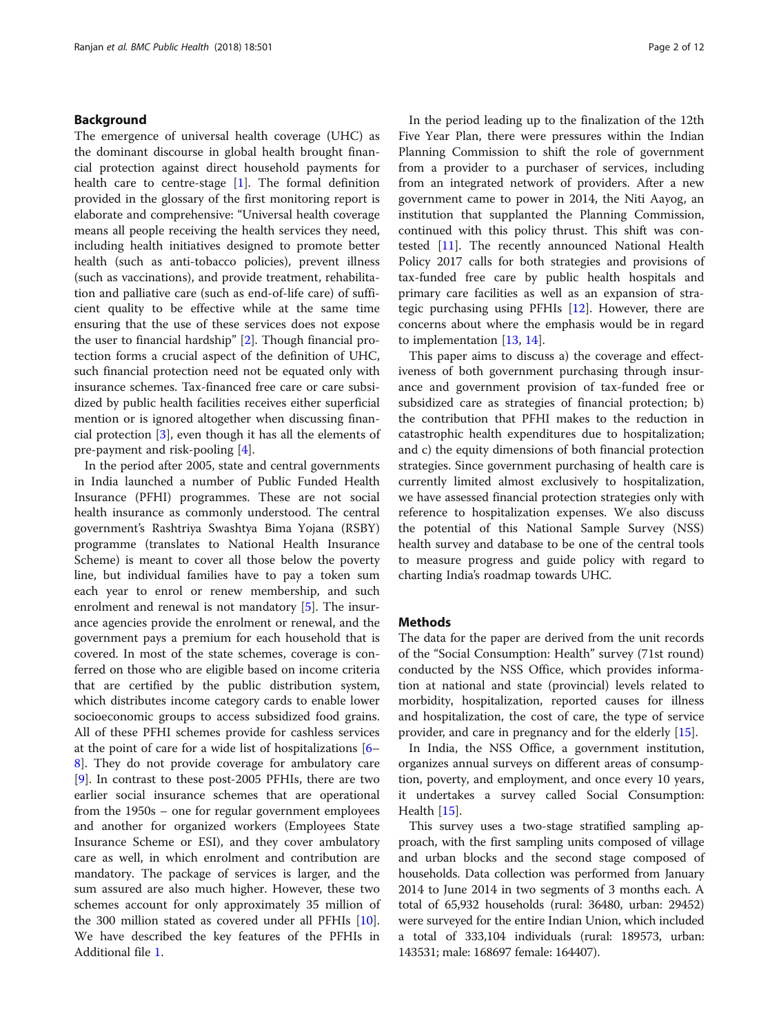# Background

The emergence of universal health coverage (UHC) as the dominant discourse in global health brought financial protection against direct household payments for health care to centre-stage [[1\]](#page-11-0). The formal definition provided in the glossary of the first monitoring report is elaborate and comprehensive: "Universal health coverage means all people receiving the health services they need, including health initiatives designed to promote better health (such as anti-tobacco policies), prevent illness (such as vaccinations), and provide treatment, rehabilitation and palliative care (such as end-of-life care) of sufficient quality to be effective while at the same time ensuring that the use of these services does not expose the user to financial hardship" [[2\]](#page-11-0). Though financial protection forms a crucial aspect of the definition of UHC, such financial protection need not be equated only with insurance schemes. Tax-financed free care or care subsidized by public health facilities receives either superficial mention or is ignored altogether when discussing financial protection [\[3](#page-11-0)], even though it has all the elements of pre-payment and risk-pooling [[4\]](#page-11-0).

In the period after 2005, state and central governments in India launched a number of Public Funded Health Insurance (PFHI) programmes. These are not social health insurance as commonly understood. The central government's Rashtriya Swashtya Bima Yojana (RSBY) programme (translates to National Health Insurance Scheme) is meant to cover all those below the poverty line, but individual families have to pay a token sum each year to enrol or renew membership, and such enrolment and renewal is not mandatory [\[5](#page-11-0)]. The insurance agencies provide the enrolment or renewal, and the government pays a premium for each household that is covered. In most of the state schemes, coverage is conferred on those who are eligible based on income criteria that are certified by the public distribution system, which distributes income category cards to enable lower socioeconomic groups to access subsidized food grains. All of these PFHI schemes provide for cashless services at the point of care for a wide list of hospitalizations [[6](#page-11-0)– [8\]](#page-11-0). They do not provide coverage for ambulatory care [[9\]](#page-11-0). In contrast to these post-2005 PFHIs, there are two earlier social insurance schemes that are operational from the 1950s – one for regular government employees and another for organized workers (Employees State Insurance Scheme or ESI), and they cover ambulatory care as well, in which enrolment and contribution are mandatory. The package of services is larger, and the sum assured are also much higher. However, these two schemes account for only approximately 35 million of the 300 million stated as covered under all PFHIs [\[10](#page-11-0)]. We have described the key features of the PFHIs in Additional file [1](#page-10-0).

In the period leading up to the finalization of the 12th Five Year Plan, there were pressures within the Indian Planning Commission to shift the role of government from a provider to a purchaser of services, including from an integrated network of providers. After a new government came to power in 2014, the Niti Aayog, an institution that supplanted the Planning Commission, continued with this policy thrust. This shift was contested [[11\]](#page-11-0). The recently announced National Health Policy 2017 calls for both strategies and provisions of tax-funded free care by public health hospitals and primary care facilities as well as an expansion of strategic purchasing using PFHIs [[12\]](#page-11-0). However, there are concerns about where the emphasis would be in regard to implementation [[13,](#page-11-0) [14\]](#page-11-0).

This paper aims to discuss a) the coverage and effectiveness of both government purchasing through insurance and government provision of tax-funded free or subsidized care as strategies of financial protection; b) the contribution that PFHI makes to the reduction in catastrophic health expenditures due to hospitalization; and c) the equity dimensions of both financial protection strategies. Since government purchasing of health care is currently limited almost exclusively to hospitalization, we have assessed financial protection strategies only with reference to hospitalization expenses. We also discuss the potential of this National Sample Survey (NSS) health survey and database to be one of the central tools to measure progress and guide policy with regard to charting India's roadmap towards UHC.

# Methods

The data for the paper are derived from the unit records of the "Social Consumption: Health" survey (71st round) conducted by the NSS Office, which provides information at national and state (provincial) levels related to morbidity, hospitalization, reported causes for illness and hospitalization, the cost of care, the type of service provider, and care in pregnancy and for the elderly [[15\]](#page-11-0).

In India, the NSS Office, a government institution, organizes annual surveys on different areas of consumption, poverty, and employment, and once every 10 years, it undertakes a survey called Social Consumption: Health [\[15](#page-11-0)].

This survey uses a two-stage stratified sampling approach, with the first sampling units composed of village and urban blocks and the second stage composed of households. Data collection was performed from January 2014 to June 2014 in two segments of 3 months each. A total of 65,932 households (rural: 36480, urban: 29452) were surveyed for the entire Indian Union, which included a total of 333,104 individuals (rural: 189573, urban: 143531; male: 168697 female: 164407).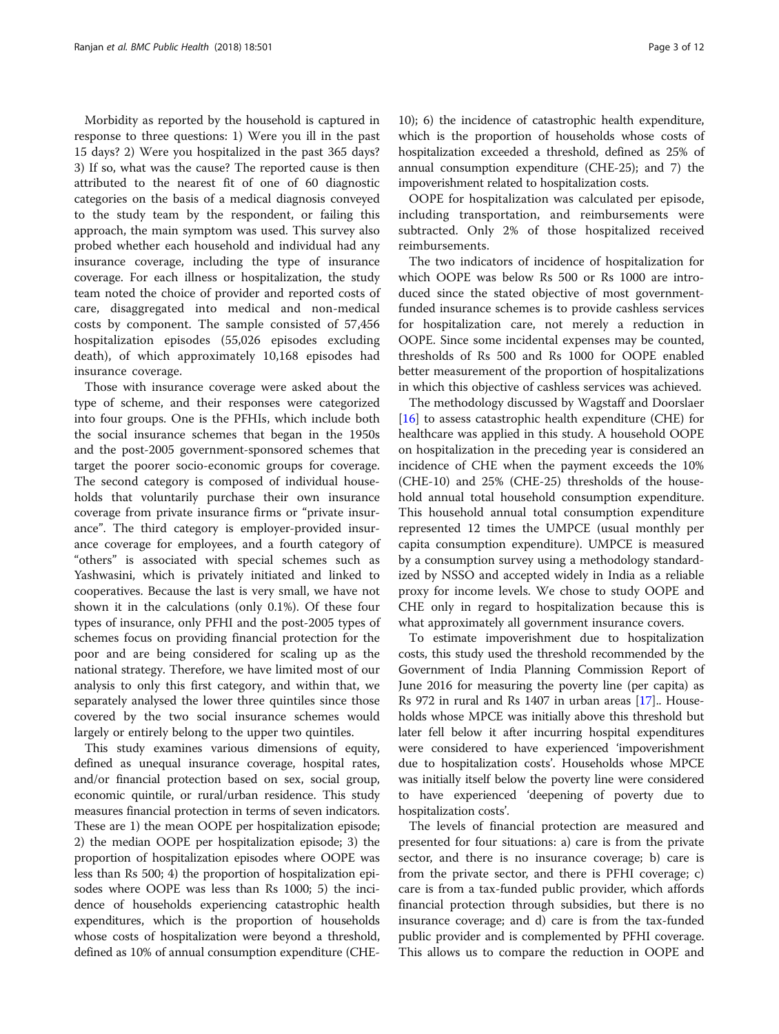Morbidity as reported by the household is captured in response to three questions: 1) Were you ill in the past 15 days? 2) Were you hospitalized in the past 365 days? 3) If so, what was the cause? The reported cause is then attributed to the nearest fit of one of 60 diagnostic categories on the basis of a medical diagnosis conveyed to the study team by the respondent, or failing this approach, the main symptom was used. This survey also probed whether each household and individual had any insurance coverage, including the type of insurance coverage. For each illness or hospitalization, the study team noted the choice of provider and reported costs of care, disaggregated into medical and non-medical costs by component. The sample consisted of 57,456 hospitalization episodes (55,026 episodes excluding death), of which approximately 10,168 episodes had insurance coverage.

Those with insurance coverage were asked about the type of scheme, and their responses were categorized into four groups. One is the PFHIs, which include both the social insurance schemes that began in the 1950s and the post-2005 government-sponsored schemes that target the poorer socio-economic groups for coverage. The second category is composed of individual households that voluntarily purchase their own insurance coverage from private insurance firms or "private insurance". The third category is employer-provided insurance coverage for employees, and a fourth category of "others" is associated with special schemes such as Yashwasini, which is privately initiated and linked to cooperatives. Because the last is very small, we have not shown it in the calculations (only 0.1%). Of these four types of insurance, only PFHI and the post-2005 types of schemes focus on providing financial protection for the poor and are being considered for scaling up as the national strategy. Therefore, we have limited most of our analysis to only this first category, and within that, we separately analysed the lower three quintiles since those covered by the two social insurance schemes would largely or entirely belong to the upper two quintiles.

This study examines various dimensions of equity, defined as unequal insurance coverage, hospital rates, and/or financial protection based on sex, social group, economic quintile, or rural/urban residence. This study measures financial protection in terms of seven indicators. These are 1) the mean OOPE per hospitalization episode; 2) the median OOPE per hospitalization episode; 3) the proportion of hospitalization episodes where OOPE was less than Rs 500; 4) the proportion of hospitalization episodes where OOPE was less than Rs 1000; 5) the incidence of households experiencing catastrophic health expenditures, which is the proportion of households whose costs of hospitalization were beyond a threshold, defined as 10% of annual consumption expenditure (CHE-

10); 6) the incidence of catastrophic health expenditure, which is the proportion of households whose costs of hospitalization exceeded a threshold, defined as 25% of annual consumption expenditure (CHE-25); and 7) the impoverishment related to hospitalization costs.

OOPE for hospitalization was calculated per episode, including transportation, and reimbursements were subtracted. Only 2% of those hospitalized received reimbursements.

The two indicators of incidence of hospitalization for which OOPE was below Rs 500 or Rs 1000 are introduced since the stated objective of most governmentfunded insurance schemes is to provide cashless services for hospitalization care, not merely a reduction in OOPE. Since some incidental expenses may be counted, thresholds of Rs 500 and Rs 1000 for OOPE enabled better measurement of the proportion of hospitalizations in which this objective of cashless services was achieved.

The methodology discussed by Wagstaff and Doorslaer  $[16]$  $[16]$  to assess catastrophic health expenditure (CHE) for healthcare was applied in this study. A household OOPE on hospitalization in the preceding year is considered an incidence of CHE when the payment exceeds the 10% (CHE-10) and 25% (CHE-25) thresholds of the household annual total household consumption expenditure. This household annual total consumption expenditure represented 12 times the UMPCE (usual monthly per capita consumption expenditure). UMPCE is measured by a consumption survey using a methodology standardized by NSSO and accepted widely in India as a reliable proxy for income levels. We chose to study OOPE and CHE only in regard to hospitalization because this is what approximately all government insurance covers.

To estimate impoverishment due to hospitalization costs, this study used the threshold recommended by the Government of India Planning Commission Report of June 2016 for measuring the poverty line (per capita) as Rs 972 in rural and Rs 1407 in urban areas [\[17\]](#page-11-0).. Households whose MPCE was initially above this threshold but later fell below it after incurring hospital expenditures were considered to have experienced 'impoverishment due to hospitalization costs'. Households whose MPCE was initially itself below the poverty line were considered to have experienced 'deepening of poverty due to hospitalization costs'.

The levels of financial protection are measured and presented for four situations: a) care is from the private sector, and there is no insurance coverage; b) care is from the private sector, and there is PFHI coverage; c) care is from a tax-funded public provider, which affords financial protection through subsidies, but there is no insurance coverage; and d) care is from the tax-funded public provider and is complemented by PFHI coverage. This allows us to compare the reduction in OOPE and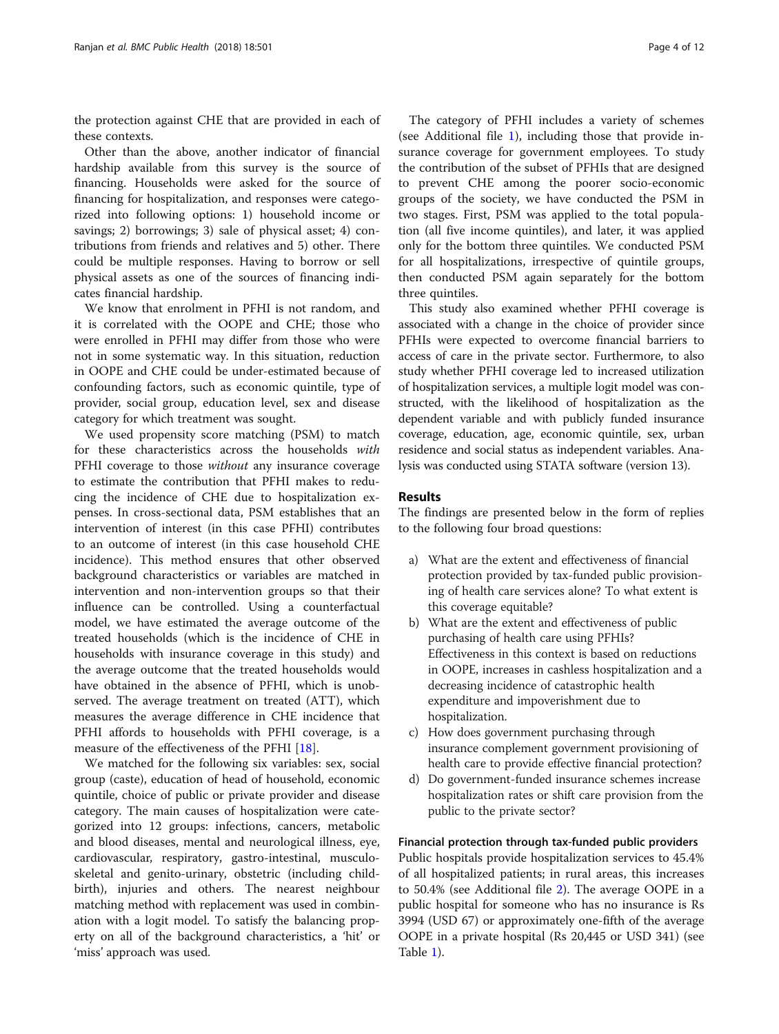the protection against CHE that are provided in each of these contexts.

Other than the above, another indicator of financial hardship available from this survey is the source of financing. Households were asked for the source of financing for hospitalization, and responses were categorized into following options: 1) household income or savings; 2) borrowings; 3) sale of physical asset; 4) contributions from friends and relatives and 5) other. There could be multiple responses. Having to borrow or sell physical assets as one of the sources of financing indicates financial hardship.

We know that enrolment in PFHI is not random, and it is correlated with the OOPE and CHE; those who were enrolled in PFHI may differ from those who were not in some systematic way. In this situation, reduction in OOPE and CHE could be under-estimated because of confounding factors, such as economic quintile, type of provider, social group, education level, sex and disease category for which treatment was sought.

We used propensity score matching (PSM) to match for these characteristics across the households with PFHI coverage to those without any insurance coverage to estimate the contribution that PFHI makes to reducing the incidence of CHE due to hospitalization expenses. In cross-sectional data, PSM establishes that an intervention of interest (in this case PFHI) contributes to an outcome of interest (in this case household CHE incidence). This method ensures that other observed background characteristics or variables are matched in intervention and non-intervention groups so that their influence can be controlled. Using a counterfactual model, we have estimated the average outcome of the treated households (which is the incidence of CHE in households with insurance coverage in this study) and the average outcome that the treated households would have obtained in the absence of PFHI, which is unobserved. The average treatment on treated (ATT), which measures the average difference in CHE incidence that PFHI affords to households with PFHI coverage, is a measure of the effectiveness of the PFHI [[18\]](#page-11-0).

We matched for the following six variables: sex, social group (caste), education of head of household, economic quintile, choice of public or private provider and disease category. The main causes of hospitalization were categorized into 12 groups: infections, cancers, metabolic and blood diseases, mental and neurological illness, eye, cardiovascular, respiratory, gastro-intestinal, musculoskeletal and genito-urinary, obstetric (including childbirth), injuries and others. The nearest neighbour matching method with replacement was used in combination with a logit model. To satisfy the balancing property on all of the background characteristics, a 'hit' or 'miss' approach was used.

The category of PFHI includes a variety of schemes (see Additional file [1\)](#page-10-0), including those that provide insurance coverage for government employees. To study the contribution of the subset of PFHIs that are designed to prevent CHE among the poorer socio-economic groups of the society, we have conducted the PSM in two stages. First, PSM was applied to the total population (all five income quintiles), and later, it was applied only for the bottom three quintiles. We conducted PSM for all hospitalizations, irrespective of quintile groups, then conducted PSM again separately for the bottom three quintiles.

This study also examined whether PFHI coverage is associated with a change in the choice of provider since PFHIs were expected to overcome financial barriers to access of care in the private sector. Furthermore, to also study whether PFHI coverage led to increased utilization of hospitalization services, a multiple logit model was constructed, with the likelihood of hospitalization as the dependent variable and with publicly funded insurance coverage, education, age, economic quintile, sex, urban residence and social status as independent variables. Analysis was conducted using STATA software (version 13).

### Results

The findings are presented below in the form of replies to the following four broad questions:

- a) What are the extent and effectiveness of financial protection provided by tax-funded public provisioning of health care services alone? To what extent is this coverage equitable?
- b) What are the extent and effectiveness of public purchasing of health care using PFHIs? Effectiveness in this context is based on reductions in OOPE, increases in cashless hospitalization and a decreasing incidence of catastrophic health expenditure and impoverishment due to hospitalization.
- c) How does government purchasing through insurance complement government provisioning of health care to provide effective financial protection?
- d) Do government-funded insurance schemes increase hospitalization rates or shift care provision from the public to the private sector?

#### Financial protection through tax-funded public providers

Public hospitals provide hospitalization services to 45.4% of all hospitalized patients; in rural areas, this increases to 50.4% (see Additional file [2](#page-10-0)). The average OOPE in a public hospital for someone who has no insurance is Rs 3994 (USD 67) or approximately one-fifth of the average OOPE in a private hospital (Rs 20,445 or USD 341) (see Table [1\)](#page-4-0).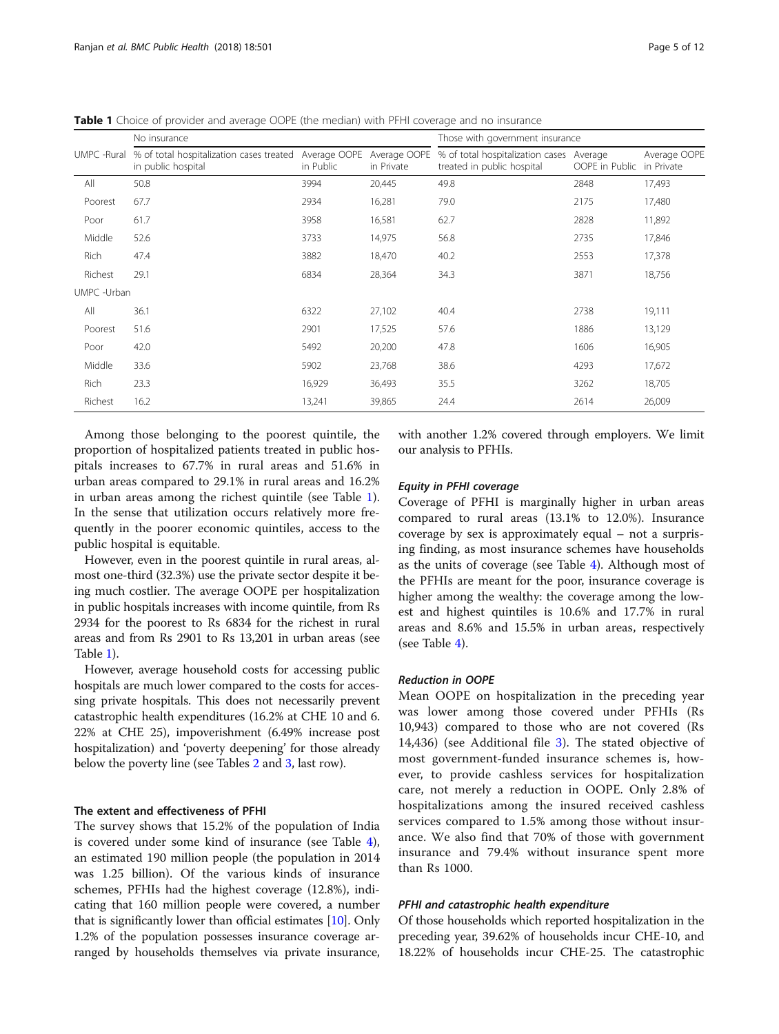<span id="page-4-0"></span>**Table 1** Choice of provider and average OOPE (the median) with PFHI coverage and no insurance

|             | No insurance                                                   | Those with government insurance |                            |                                                                        |                |                                      |  |
|-------------|----------------------------------------------------------------|---------------------------------|----------------------------|------------------------------------------------------------------------|----------------|--------------------------------------|--|
| UMPC -Rural | % of total hospitalization cases treated<br>in public hospital | Average OOPE<br>in Public       | Average OOPE<br>in Private | % of total hospitalization cases Average<br>treated in public hospital | OOPE in Public | Average OOPE<br>in Private<br>17,493 |  |
| All         | 50.8                                                           | 3994                            | 20,445                     | 49.8                                                                   | 2848           |                                      |  |
| Poorest     | 67.7                                                           | 2934                            | 16,281                     | 79.0                                                                   | 2175           | 17,480                               |  |
| Poor        | 61.7                                                           | 3958                            | 16,581                     | 62.7                                                                   | 2828           | 11,892                               |  |
| Middle      | 52.6                                                           | 3733                            | 14,975                     | 56.8                                                                   | 2735           | 17,846                               |  |
| Rich        | 47.4                                                           | 3882                            | 18,470                     | 40.2                                                                   | 2553           | 17,378                               |  |
| Richest     | 29.1                                                           | 6834                            | 28,364                     | 34.3                                                                   | 3871           | 18,756                               |  |
| UMPC -Urban |                                                                |                                 |                            |                                                                        |                |                                      |  |
| All         | 36.1                                                           | 6322                            | 27,102                     | 40.4                                                                   | 2738           | 19,111                               |  |
| Poorest     | 51.6                                                           | 2901                            | 17,525                     | 57.6                                                                   | 1886           | 13,129                               |  |
| Poor        | 42.0                                                           | 5492                            | 20,200                     | 47.8                                                                   | 1606           | 16,905                               |  |
| Middle      | 33.6                                                           | 5902                            | 23,768                     | 38.6                                                                   | 4293           | 17,672                               |  |
| Rich        | 23.3                                                           | 16,929                          | 36,493                     | 35.5                                                                   | 3262           | 18,705                               |  |
| Richest     | 16.2                                                           | 13,241                          | 39,865                     | 24.4                                                                   | 2614           | 26,009                               |  |

Among those belonging to the poorest quintile, the proportion of hospitalized patients treated in public hospitals increases to 67.7% in rural areas and 51.6% in urban areas compared to 29.1% in rural areas and 16.2% in urban areas among the richest quintile (see Table 1). In the sense that utilization occurs relatively more frequently in the poorer economic quintiles, access to the public hospital is equitable.

However, even in the poorest quintile in rural areas, almost one-third (32.3%) use the private sector despite it being much costlier. The average OOPE per hospitalization in public hospitals increases with income quintile, from Rs 2934 for the poorest to Rs 6834 for the richest in rural areas and from Rs 2901 to Rs 13,201 in urban areas (see Table 1).

However, average household costs for accessing public hospitals are much lower compared to the costs for accessing private hospitals. This does not necessarily prevent catastrophic health expenditures (16.2% at CHE 10 and 6. 22% at CHE 25), impoverishment (6.49% increase post hospitalization) and 'poverty deepening' for those already below the poverty line (see Tables [2](#page-5-0) and [3](#page-5-0), last row).

### The extent and effectiveness of PFHI

The survey shows that 15.2% of the population of India is covered under some kind of insurance (see Table [4](#page-6-0)), an estimated 190 million people (the population in 2014 was 1.25 billion). Of the various kinds of insurance schemes, PFHIs had the highest coverage (12.8%), indicating that 160 million people were covered, a number that is significantly lower than official estimates [\[10\]](#page-11-0). Only 1.2% of the population possesses insurance coverage arranged by households themselves via private insurance, with another 1.2% covered through employers. We limit our analysis to PFHIs.

# Equity in PFHI coverage

Coverage of PFHI is marginally higher in urban areas compared to rural areas (13.1% to 12.0%). Insurance coverage by sex is approximately equal – not a surprising finding, as most insurance schemes have households as the units of coverage (see Table [4](#page-6-0)). Although most of the PFHIs are meant for the poor, insurance coverage is higher among the wealthy: the coverage among the lowest and highest quintiles is 10.6% and 17.7% in rural areas and 8.6% and 15.5% in urban areas, respectively (see Table [4\)](#page-6-0).

# Reduction in OOPE

Mean OOPE on hospitalization in the preceding year was lower among those covered under PFHIs (Rs 10,943) compared to those who are not covered (Rs 14,436) (see Additional file [3](#page-10-0)). The stated objective of most government-funded insurance schemes is, however, to provide cashless services for hospitalization care, not merely a reduction in OOPE. Only 2.8% of hospitalizations among the insured received cashless services compared to 1.5% among those without insurance. We also find that 70% of those with government insurance and 79.4% without insurance spent more than Rs 1000.

# PFHI and catastrophic health expenditure

Of those households which reported hospitalization in the preceding year, 39.62% of households incur CHE-10, and 18.22% of households incur CHE-25. The catastrophic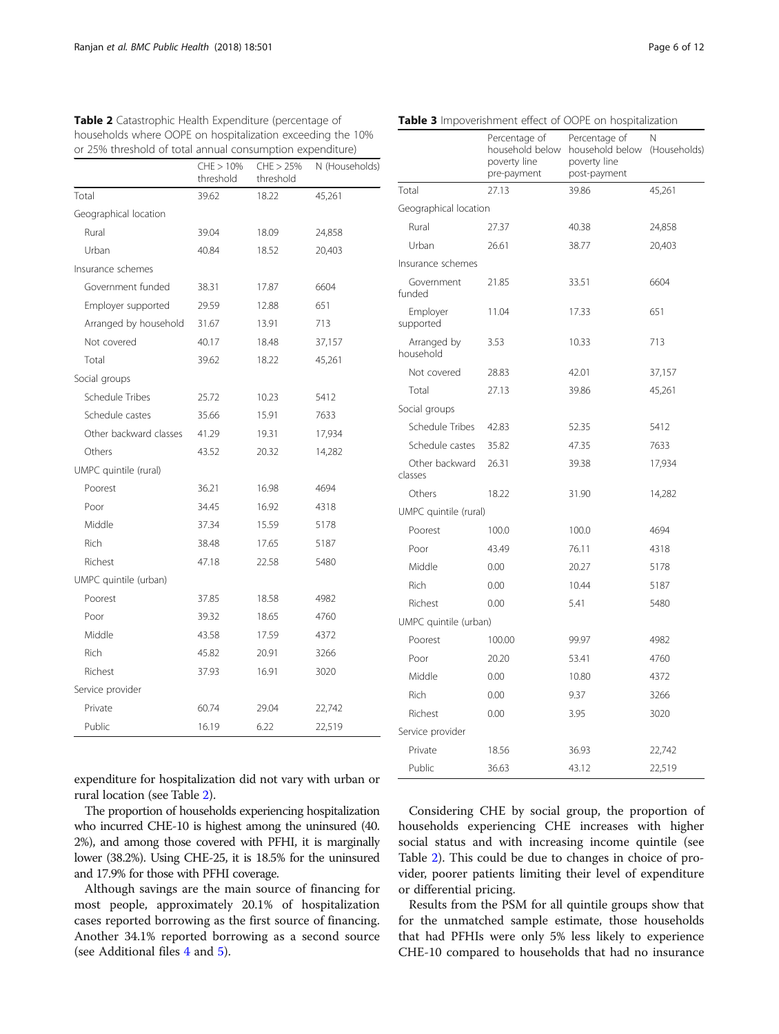|                        | CHE > 10%<br>threshold | CHE > 25%<br>threshold | N (Households) |
|------------------------|------------------------|------------------------|----------------|
| Total                  | 39.62                  | 18.22                  | 45,261         |
| Geographical location  |                        |                        |                |
| Rural                  | 39.04                  | 18.09                  | 24,858         |
| Urban                  | 40.84                  | 18.52                  | 20,403         |
| Insurance schemes      |                        |                        |                |
| Government funded      | 38.31                  | 17.87                  | 6604           |
| Employer supported     | 29.59                  | 12.88                  | 651            |
| Arranged by household  | 31.67                  | 13.91                  | 713            |
| Not covered            | 40.17                  | 18.48                  | 37,157         |
| Total                  | 39.62                  | 18.22                  | 45,261         |
| Social groups          |                        |                        |                |
| <b>Schedule Tribes</b> | 25.72                  | 10.23                  | 5412           |
| Schedule castes        | 35.66                  | 15.91                  | 7633           |
| Other backward classes | 41.29                  | 19.31                  | 17,934         |
| Others                 | 43.52                  | 20.32                  | 14,282         |
| UMPC quintile (rural)  |                        |                        |                |
| Poorest                | 36.21                  | 16.98                  | 4694           |
| Poor                   | 34.45                  | 16.92                  | 4318           |
| Middle                 | 37.34                  | 15.59                  | 5178           |
| Rich                   | 38.48                  | 17.65                  | 5187           |
| Richest                | 47.18                  | 22.58                  | 5480           |
| UMPC quintile (urban)  |                        |                        |                |
| Poorest                | 37.85                  | 18.58                  | 4982           |
| Poor                   | 39.32                  | 18.65                  | 4760           |
| Middle                 | 43.58                  | 17.59                  | 4372           |
| Rich                   | 45.82                  | 20.91                  | 3266           |
| Richest                | 37.93                  | 16.91                  | 3020           |
| Service provider       |                        |                        |                |
| Private                | 60.74                  | 29.04                  | 22,742         |
| Public                 | 16.19                  | 6.22                   | 22,519         |

<span id="page-5-0"></span>Table 2 Catastrophic Health Expenditure (percentage of households where OOPE on hospitalization exceeding the 10% or 25% threshold of total annual consumption expenditure)

expenditure for hospitalization did not vary with urban or rural location (see Table 2).

The proportion of households experiencing hospitalization who incurred CHE-10 is highest among the uninsured (40. 2%), and among those covered with PFHI, it is marginally lower (38.2%). Using CHE-25, it is 18.5% for the uninsured and 17.9% for those with PFHI coverage.

Although savings are the main source of financing for most people, approximately 20.1% of hospitalization cases reported borrowing as the first source of financing. Another 34.1% reported borrowing as a second source (see Additional files [4](#page-10-0) and [5](#page-10-0)).

|                           | household below<br>poverty line<br>pre-payment | household below<br>poverty line<br>post-payment | (Households) |  |
|---------------------------|------------------------------------------------|-------------------------------------------------|--------------|--|
| Total                     | 27.13                                          | 39.86                                           | 45,261       |  |
| Geographical location     |                                                |                                                 |              |  |
| Rural                     | 27.37                                          | 40.38                                           | 24,858       |  |
| Urban                     | 26.61                                          | 38.77                                           | 20,403       |  |
| Insurance schemes         |                                                |                                                 |              |  |
| Government<br>funded      | 21.85                                          | 33.51                                           | 6604         |  |
| Employer<br>supported     | 11.04                                          | 17.33                                           | 651          |  |
| Arranged by<br>household  | 3.53                                           | 10.33                                           | 713          |  |
| Not covered               | 28.83                                          | 42.01                                           | 37,157       |  |
| Total                     | 27.13                                          | 39.86                                           | 45,261       |  |
| Social groups             |                                                |                                                 |              |  |
| <b>Schedule Tribes</b>    | 42.83                                          | 52.35                                           | 5412         |  |
| Schedule castes           | 35.82                                          | 47.35                                           | 7633         |  |
| Other backward<br>classes | 26.31                                          | 39.38                                           | 17,934       |  |
| Others                    | 18.22                                          | 31.90                                           | 14,282       |  |
| UMPC quintile (rural)     |                                                |                                                 |              |  |
| Poorest                   | 100.0                                          | 100.0                                           | 4694         |  |
| Poor                      | 43.49                                          | 76.11                                           | 4318         |  |
| Middle                    | 0.00                                           | 20.27                                           | 5178         |  |
| Rich                      | 0.00                                           | 10.44                                           | 5187         |  |
| Richest                   | 0.00                                           | 5.41                                            | 5480         |  |
| UMPC quintile (urban)     |                                                |                                                 |              |  |
| Poorest                   | 100.00                                         | 99.97                                           | 4982         |  |
| Poor                      | 20.20                                          | 53.41                                           | 4760         |  |
| Middle                    | 0.00                                           | 10.80                                           | 4372         |  |
| Rich                      | 0.00                                           | 9.37                                            | 3266         |  |
| Richest                   | 0.00                                           | 3.95                                            | 3020         |  |
| Service provider          |                                                |                                                 |              |  |
| Private                   | 18.56                                          | 36.93                                           | 22,742       |  |
| Public                    | 36.63                                          | 43.12                                           | 22,519       |  |

### Table 3 Impoverishment effect of OOPE on hospitalization

Percentage of

Percentage of

Considering CHE by social group, the proportion of households experiencing CHE increases with higher social status and with increasing income quintile (see Table 2). This could be due to changes in choice of provider, poorer patients limiting their level of expenditure or differential pricing.

Results from the PSM for all quintile groups show that for the unmatched sample estimate, those households that had PFHIs were only 5% less likely to experience CHE-10 compared to households that had no insurance

N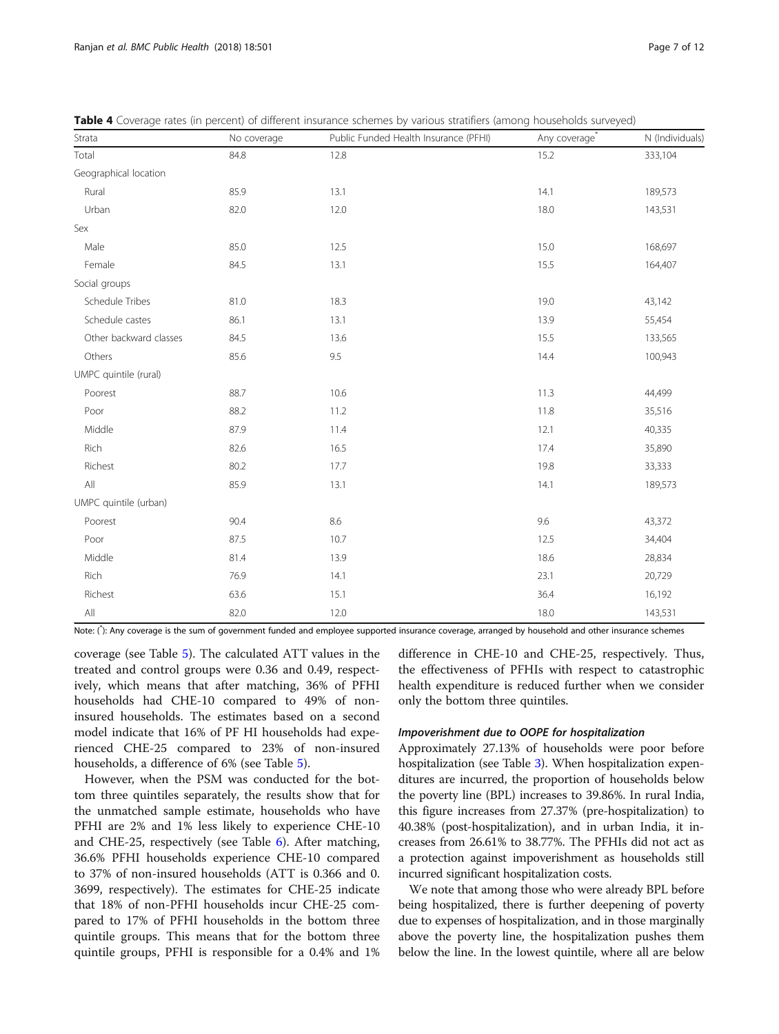| Strata                 | No coverage | Public Funded Health Insurance (PFHI) | Any coverage <sup>*</sup> | N (Individuals) |
|------------------------|-------------|---------------------------------------|---------------------------|-----------------|
| Total                  | 84.8        | 12.8                                  | 15.2                      | 333,104         |
| Geographical location  |             |                                       |                           |                 |
| Rural                  | 85.9        | 13.1                                  | 14.1                      | 189,573         |
| Urban                  | 82.0        | 12.0                                  | 18.0                      | 143,531         |
| Sex                    |             |                                       |                           |                 |
| Male                   | 85.0        | 12.5                                  | 15.0                      | 168,697         |
| Female                 | 84.5        | 13.1                                  | 15.5                      | 164,407         |
| Social groups          |             |                                       |                           |                 |
| Schedule Tribes        | 81.0        | 18.3                                  | 19.0                      | 43,142          |
| Schedule castes        | 86.1        | 13.1                                  | 13.9                      | 55,454          |
| Other backward classes | 84.5        | 13.6                                  | 15.5                      | 133,565         |
| Others                 | 85.6        | 9.5                                   | 14.4                      | 100,943         |
| UMPC quintile (rural)  |             |                                       |                           |                 |
| Poorest                | 88.7        | 10.6                                  | 11.3                      | 44,499          |
| Poor                   | 88.2        | 11.2                                  | 11.8                      | 35,516          |
| Middle                 | 87.9        | 11.4                                  | 12.1                      | 40,335          |
| Rich                   | 82.6        | 16.5                                  | 17.4                      | 35,890          |
| Richest                | 80.2        | 17.7                                  | 19.8                      | 33,333          |
| $\mathsf{All}$         | 85.9        | 13.1                                  | 14.1                      | 189,573         |
| UMPC quintile (urban)  |             |                                       |                           |                 |
| Poorest                | 90.4        | 8.6                                   | 9.6                       | 43,372          |
| Poor                   | 87.5        | 10.7                                  | 12.5                      | 34,404          |
| Middle                 | 81.4        | 13.9                                  | 18.6                      | 28,834          |
| Rich                   | 76.9        | 14.1                                  | 23.1                      | 20,729          |
| Richest                | 63.6        | 15.1                                  | 36.4                      | 16,192          |
| $\mathsf{All}$         | 82.0        | 12.0                                  | 18.0                      | 143,531         |

<span id="page-6-0"></span>Table 4 Coverage rates (in percent) of different insurance schemes by various stratifiers (among households surveyed)

Note: (\* ): Any coverage is the sum of government funded and employee supported insurance coverage, arranged by household and other insurance schemes

coverage (see Table [5](#page-7-0)). The calculated ATT values in the treated and control groups were 0.36 and 0.49, respectively, which means that after matching, 36% of PFHI households had CHE-10 compared to 49% of noninsured households. The estimates based on a second model indicate that 16% of PF HI households had experienced CHE-25 compared to 23% of non-insured households, a difference of 6% (see Table [5](#page-7-0)).

However, when the PSM was conducted for the bottom three quintiles separately, the results show that for the unmatched sample estimate, households who have PFHI are 2% and 1% less likely to experience CHE-10 and CHE-25, respectively (see Table [6\)](#page-7-0). After matching, 36.6% PFHI households experience CHE-10 compared to 37% of non-insured households (ATT is 0.366 and 0. 3699, respectively). The estimates for CHE-25 indicate that 18% of non-PFHI households incur CHE-25 compared to 17% of PFHI households in the bottom three quintile groups. This means that for the bottom three quintile groups, PFHI is responsible for a 0.4% and 1% difference in CHE-10 and CHE-25, respectively. Thus, the effectiveness of PFHIs with respect to catastrophic health expenditure is reduced further when we consider only the bottom three quintiles.

## Impoverishment due to OOPE for hospitalization

Approximately 27.13% of households were poor before hospitalization (see Table [3\)](#page-5-0). When hospitalization expenditures are incurred, the proportion of households below the poverty line (BPL) increases to 39.86%. In rural India, this figure increases from 27.37% (pre-hospitalization) to 40.38% (post-hospitalization), and in urban India, it increases from 26.61% to 38.77%. The PFHIs did not act as a protection against impoverishment as households still incurred significant hospitalization costs.

We note that among those who were already BPL before being hospitalized, there is further deepening of poverty due to expenses of hospitalization, and in those marginally above the poverty line, the hospitalization pushes them below the line. In the lowest quintile, where all are below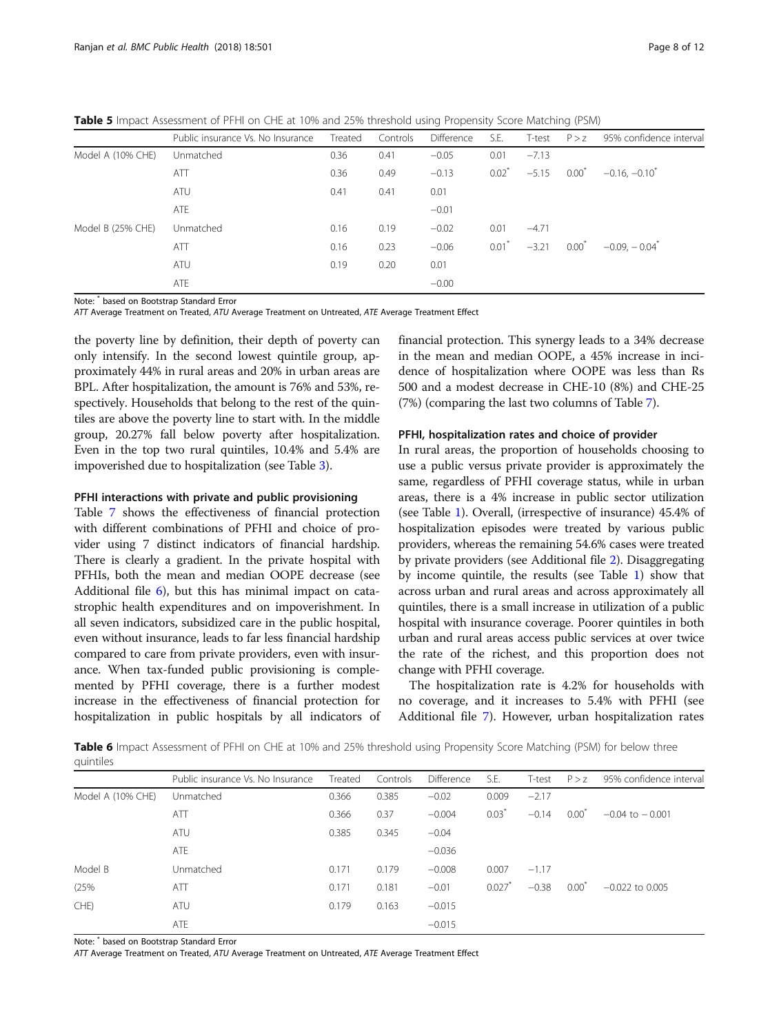<span id="page-7-0"></span>Table 5 Impact Assessment of PFHI on CHE at 10% and 25% threshold using Propensity Score Matching (PSM)

|                   | Public insurance Vs. No Insurance | Treated | Controls | <b>Difference</b> | S.E.                | T-test  | P > Z    | 95% confidence interval     |
|-------------------|-----------------------------------|---------|----------|-------------------|---------------------|---------|----------|-----------------------------|
| Model A (10% CHE) | Unmatched                         | 0.36    | 0.41     | $-0.05$           | 0.01                | $-7.13$ |          |                             |
|                   | ATT                               | 0.36    | 0.49     | $-0.13$           | $0.02^*$            | $-5.15$ | $0.00^*$ | $-0.16, -0.10^*$            |
|                   | ATU                               | 0.41    | 0.41     | 0.01              |                     |         |          |                             |
|                   | <b>ATE</b>                        |         |          | $-0.01$           |                     |         |          |                             |
| Model B (25% CHE) | Unmatched                         | 0.16    | 0.19     | $-0.02$           | 0.01                | $-4.71$ |          |                             |
|                   | ATT                               | 0.16    | 0.23     | $-0.06$           | $0.01$ <sup>*</sup> | $-3.21$ | $0.00*$  | $-0.09. -0.04$ <sup>*</sup> |
|                   | ATU                               | 0.19    | 0.20     | 0.01              |                     |         |          |                             |
|                   | ATE                               |         |          | $-0.00$           |                     |         |          |                             |
|                   |                                   |         |          |                   |                     |         |          |                             |

Note: \* based on Bootstrap Standard Error

ATT Average Treatment on Treated, ATU Average Treatment on Untreated, ATE Average Treatment Effect

the poverty line by definition, their depth of poverty can only intensify. In the second lowest quintile group, approximately 44% in rural areas and 20% in urban areas are BPL. After hospitalization, the amount is 76% and 53%, respectively. Households that belong to the rest of the quintiles are above the poverty line to start with. In the middle group, 20.27% fall below poverty after hospitalization. Even in the top two rural quintiles, 10.4% and 5.4% are impoverished due to hospitalization (see Table [3\)](#page-5-0).

### PFHI interactions with private and public provisioning

Table [7](#page-8-0) shows the effectiveness of financial protection with different combinations of PFHI and choice of provider using 7 distinct indicators of financial hardship. There is clearly a gradient. In the private hospital with PFHIs, both the mean and median OOPE decrease (see Additional file [6](#page-10-0)), but this has minimal impact on catastrophic health expenditures and on impoverishment. In all seven indicators, subsidized care in the public hospital, even without insurance, leads to far less financial hardship compared to care from private providers, even with insurance. When tax-funded public provisioning is complemented by PFHI coverage, there is a further modest increase in the effectiveness of financial protection for hospitalization in public hospitals by all indicators of

financial protection. This synergy leads to a 34% decrease in the mean and median OOPE, a 45% increase in incidence of hospitalization where OOPE was less than Rs 500 and a modest decrease in CHE-10 (8%) and CHE-25 (7%) (comparing the last two columns of Table [7\)](#page-8-0).

### PFHI, hospitalization rates and choice of provider

In rural areas, the proportion of households choosing to use a public versus private provider is approximately the same, regardless of PFHI coverage status, while in urban areas, there is a 4% increase in public sector utilization (see Table [1\)](#page-4-0). Overall, (irrespective of insurance) 45.4% of hospitalization episodes were treated by various public providers, whereas the remaining 54.6% cases were treated by private providers (see Additional file [2](#page-10-0)). Disaggregating by income quintile, the results (see Table [1](#page-4-0)) show that across urban and rural areas and across approximately all quintiles, there is a small increase in utilization of a public hospital with insurance coverage. Poorer quintiles in both urban and rural areas access public services at over twice the rate of the richest, and this proportion does not change with PFHI coverage.

The hospitalization rate is 4.2% for households with no coverage, and it increases to 5.4% with PFHI (see Additional file [7](#page-10-0)). However, urban hospitalization rates

Table 6 Impact Assessment of PFHI on CHE at 10% and 25% threshold using Propensity Score Matching (PSM) for below three quintiles

|                   | Public insurance Vs. No Insurance | Treated | Controls | <b>Difference</b> | S.E.       | T-test  | P > Z    | 95% confidence interva |
|-------------------|-----------------------------------|---------|----------|-------------------|------------|---------|----------|------------------------|
| Model A (10% CHE) | Unmatched                         | 0.366   | 0.385    | $-0.02$           | 0.009      | $-2.17$ |          |                        |
|                   | ATT                               | 0.366   | 0.37     | $-0.004$          | $0.03^{7}$ | $-0.14$ | $0.00^*$ | $-0.04$ to $-0.001$    |
|                   | <b>ATU</b>                        | 0.385   | 0.345    | $-0.04$           |            |         |          |                        |
|                   | ATE                               |         |          | $-0.036$          |            |         |          |                        |
| Model B           | Unmatched                         | 0.171   | 0.179    | $-0.008$          | 0.007      | $-1.17$ |          |                        |
| (25%              | ATT                               | 0.171   | 0.181    | $-0.01$           | 0.027      | $-0.38$ | $0.00^*$ | $-0.022$ to 0.005      |
| CHE)              | ATU                               | 0.179   | 0.163    | $-0.015$          |            |         |          |                        |
|                   | ATE                               |         |          | $-0.015$          |            |         |          |                        |

Note: \* based on Bootstrap Standard Error

ATT Average Treatment on Treated, ATU Average Treatment on Untreated, ATE Average Treatment Effect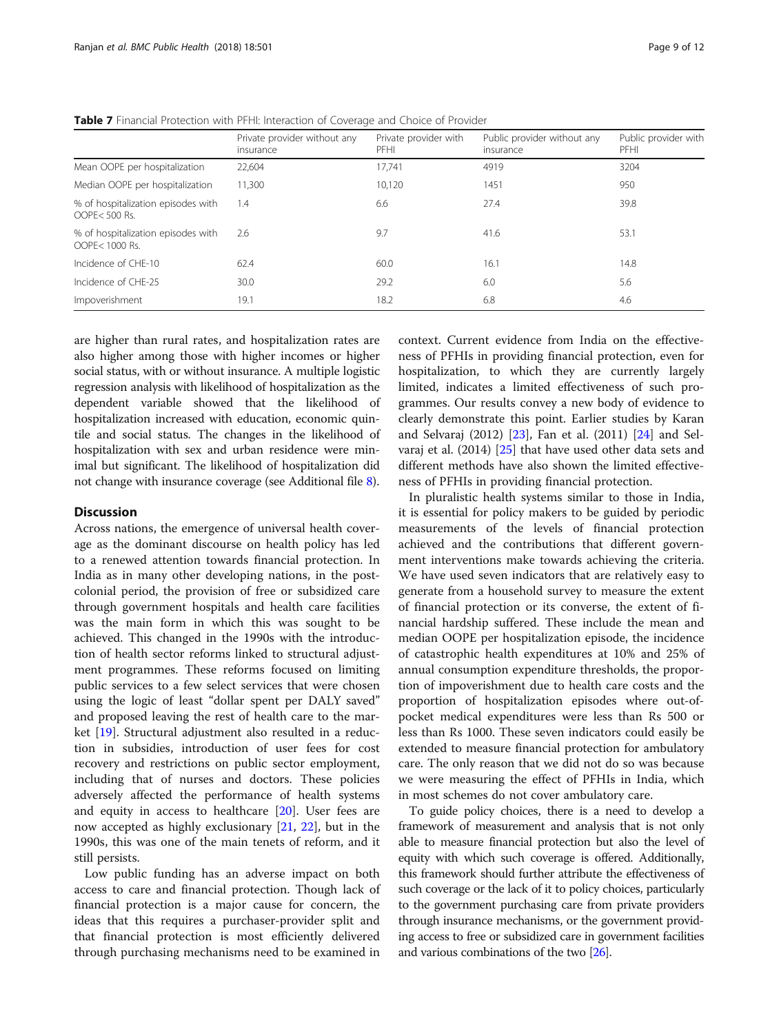|                                                      | Private provider without any<br>insurance | Private provider with<br>PFHI | Public provider without any<br>insurance | Public provider with<br><b>PFHI</b> |
|------------------------------------------------------|-------------------------------------------|-------------------------------|------------------------------------------|-------------------------------------|
| Mean OOPE per hospitalization                        | 22,604                                    | 17.741                        | 4919                                     | 3204                                |
| Median OOPE per hospitalization                      | 11,300                                    | 10,120                        | 1451                                     | 950                                 |
| % of hospitalization episodes with<br>OOPF< 500 Rs.  | 1.4                                       | 6.6                           | 27.4                                     | 39.8                                |
| % of hospitalization episodes with<br>OOPF< 1000 Rs. | 2.6                                       | 9.7                           | 41.6                                     | 53.1                                |
| Incidence of CHF-10                                  | 62.4                                      | 60.0                          | 16.1                                     | 14.8                                |
| Incidence of CHE-25                                  | 30.0                                      | 29.2                          | 6.0                                      | 5.6                                 |
| Impoverishment                                       | 19.1                                      | 18.2                          | 6.8                                      | 4.6                                 |

<span id="page-8-0"></span>Table 7 Financial Protection with PFHI: Interaction of Coverage and Choice of Provider

are higher than rural rates, and hospitalization rates are also higher among those with higher incomes or higher social status, with or without insurance. A multiple logistic regression analysis with likelihood of hospitalization as the dependent variable showed that the likelihood of hospitalization increased with education, economic quintile and social status. The changes in the likelihood of hospitalization with sex and urban residence were minimal but significant. The likelihood of hospitalization did not change with insurance coverage (see Additional file [8\)](#page-10-0).

# **Discussion**

Across nations, the emergence of universal health coverage as the dominant discourse on health policy has led to a renewed attention towards financial protection. In India as in many other developing nations, in the postcolonial period, the provision of free or subsidized care through government hospitals and health care facilities was the main form in which this was sought to be achieved. This changed in the 1990s with the introduction of health sector reforms linked to structural adjustment programmes. These reforms focused on limiting public services to a few select services that were chosen using the logic of least "dollar spent per DALY saved" and proposed leaving the rest of health care to the market [\[19\]](#page-11-0). Structural adjustment also resulted in a reduction in subsidies, introduction of user fees for cost recovery and restrictions on public sector employment, including that of nurses and doctors. These policies adversely affected the performance of health systems and equity in access to healthcare [[20](#page-11-0)]. User fees are now accepted as highly exclusionary [[21](#page-11-0), [22\]](#page-11-0), but in the 1990s, this was one of the main tenets of reform, and it still persists.

Low public funding has an adverse impact on both access to care and financial protection. Though lack of financial protection is a major cause for concern, the ideas that this requires a purchaser-provider split and that financial protection is most efficiently delivered through purchasing mechanisms need to be examined in

context. Current evidence from India on the effectiveness of PFHIs in providing financial protection, even for hospitalization, to which they are currently largely limited, indicates a limited effectiveness of such programmes. Our results convey a new body of evidence to clearly demonstrate this point. Earlier studies by Karan and Selvaraj (2012) [\[23\]](#page-11-0), Fan et al. (2011) [\[24](#page-11-0)] and Selvaraj et al. (2014) [[25\]](#page-11-0) that have used other data sets and different methods have also shown the limited effectiveness of PFHIs in providing financial protection.

In pluralistic health systems similar to those in India, it is essential for policy makers to be guided by periodic measurements of the levels of financial protection achieved and the contributions that different government interventions make towards achieving the criteria. We have used seven indicators that are relatively easy to generate from a household survey to measure the extent of financial protection or its converse, the extent of financial hardship suffered. These include the mean and median OOPE per hospitalization episode, the incidence of catastrophic health expenditures at 10% and 25% of annual consumption expenditure thresholds, the proportion of impoverishment due to health care costs and the proportion of hospitalization episodes where out-ofpocket medical expenditures were less than Rs 500 or less than Rs 1000. These seven indicators could easily be extended to measure financial protection for ambulatory care. The only reason that we did not do so was because we were measuring the effect of PFHIs in India, which in most schemes do not cover ambulatory care.

To guide policy choices, there is a need to develop a framework of measurement and analysis that is not only able to measure financial protection but also the level of equity with which such coverage is offered. Additionally, this framework should further attribute the effectiveness of such coverage or the lack of it to policy choices, particularly to the government purchasing care from private providers through insurance mechanisms, or the government providing access to free or subsidized care in government facilities and various combinations of the two [\[26\]](#page-11-0).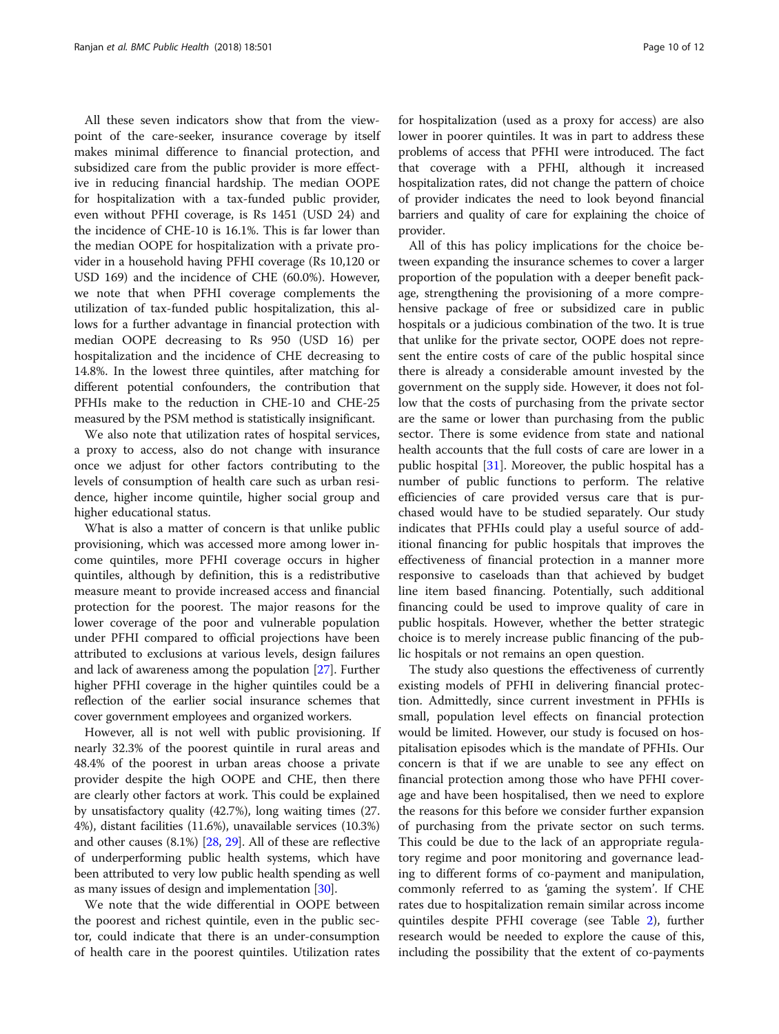All these seven indicators show that from the viewpoint of the care-seeker, insurance coverage by itself makes minimal difference to financial protection, and subsidized care from the public provider is more effective in reducing financial hardship. The median OOPE for hospitalization with a tax-funded public provider, even without PFHI coverage, is Rs 1451 (USD 24) and the incidence of CHE-10 is 16.1%. This is far lower than the median OOPE for hospitalization with a private provider in a household having PFHI coverage (Rs 10,120 or USD 169) and the incidence of CHE (60.0%). However, we note that when PFHI coverage complements the utilization of tax-funded public hospitalization, this allows for a further advantage in financial protection with median OOPE decreasing to Rs 950 (USD 16) per hospitalization and the incidence of CHE decreasing to 14.8%. In the lowest three quintiles, after matching for different potential confounders, the contribution that PFHIs make to the reduction in CHE-10 and CHE-25 measured by the PSM method is statistically insignificant.

We also note that utilization rates of hospital services, a proxy to access, also do not change with insurance once we adjust for other factors contributing to the levels of consumption of health care such as urban residence, higher income quintile, higher social group and higher educational status.

What is also a matter of concern is that unlike public provisioning, which was accessed more among lower income quintiles, more PFHI coverage occurs in higher quintiles, although by definition, this is a redistributive measure meant to provide increased access and financial protection for the poorest. The major reasons for the lower coverage of the poor and vulnerable population under PFHI compared to official projections have been attributed to exclusions at various levels, design failures and lack of awareness among the population [[27](#page-11-0)]. Further higher PFHI coverage in the higher quintiles could be a reflection of the earlier social insurance schemes that cover government employees and organized workers.

However, all is not well with public provisioning. If nearly 32.3% of the poorest quintile in rural areas and 48.4% of the poorest in urban areas choose a private provider despite the high OOPE and CHE, then there are clearly other factors at work. This could be explained by unsatisfactory quality (42.7%), long waiting times (27. 4%), distant facilities (11.6%), unavailable services (10.3%) and other causes (8.1%) [[28](#page-11-0), [29\]](#page-11-0). All of these are reflective of underperforming public health systems, which have been attributed to very low public health spending as well as many issues of design and implementation [\[30\]](#page-11-0).

We note that the wide differential in OOPE between the poorest and richest quintile, even in the public sector, could indicate that there is an under-consumption of health care in the poorest quintiles. Utilization rates for hospitalization (used as a proxy for access) are also lower in poorer quintiles. It was in part to address these problems of access that PFHI were introduced. The fact that coverage with a PFHI, although it increased hospitalization rates, did not change the pattern of choice of provider indicates the need to look beyond financial barriers and quality of care for explaining the choice of provider.

All of this has policy implications for the choice between expanding the insurance schemes to cover a larger proportion of the population with a deeper benefit package, strengthening the provisioning of a more comprehensive package of free or subsidized care in public hospitals or a judicious combination of the two. It is true that unlike for the private sector, OOPE does not represent the entire costs of care of the public hospital since there is already a considerable amount invested by the government on the supply side. However, it does not follow that the costs of purchasing from the private sector are the same or lower than purchasing from the public sector. There is some evidence from state and national health accounts that the full costs of care are lower in a public hospital [\[31](#page-11-0)]. Moreover, the public hospital has a number of public functions to perform. The relative efficiencies of care provided versus care that is purchased would have to be studied separately. Our study indicates that PFHIs could play a useful source of additional financing for public hospitals that improves the effectiveness of financial protection in a manner more responsive to caseloads than that achieved by budget line item based financing. Potentially, such additional financing could be used to improve quality of care in public hospitals. However, whether the better strategic choice is to merely increase public financing of the public hospitals or not remains an open question.

The study also questions the effectiveness of currently existing models of PFHI in delivering financial protection. Admittedly, since current investment in PFHIs is small, population level effects on financial protection would be limited. However, our study is focused on hospitalisation episodes which is the mandate of PFHIs. Our concern is that if we are unable to see any effect on financial protection among those who have PFHI coverage and have been hospitalised, then we need to explore the reasons for this before we consider further expansion of purchasing from the private sector on such terms. This could be due to the lack of an appropriate regulatory regime and poor monitoring and governance leading to different forms of co-payment and manipulation, commonly referred to as 'gaming the system'. If CHE rates due to hospitalization remain similar across income quintiles despite PFHI coverage (see Table [2\)](#page-5-0), further research would be needed to explore the cause of this, including the possibility that the extent of co-payments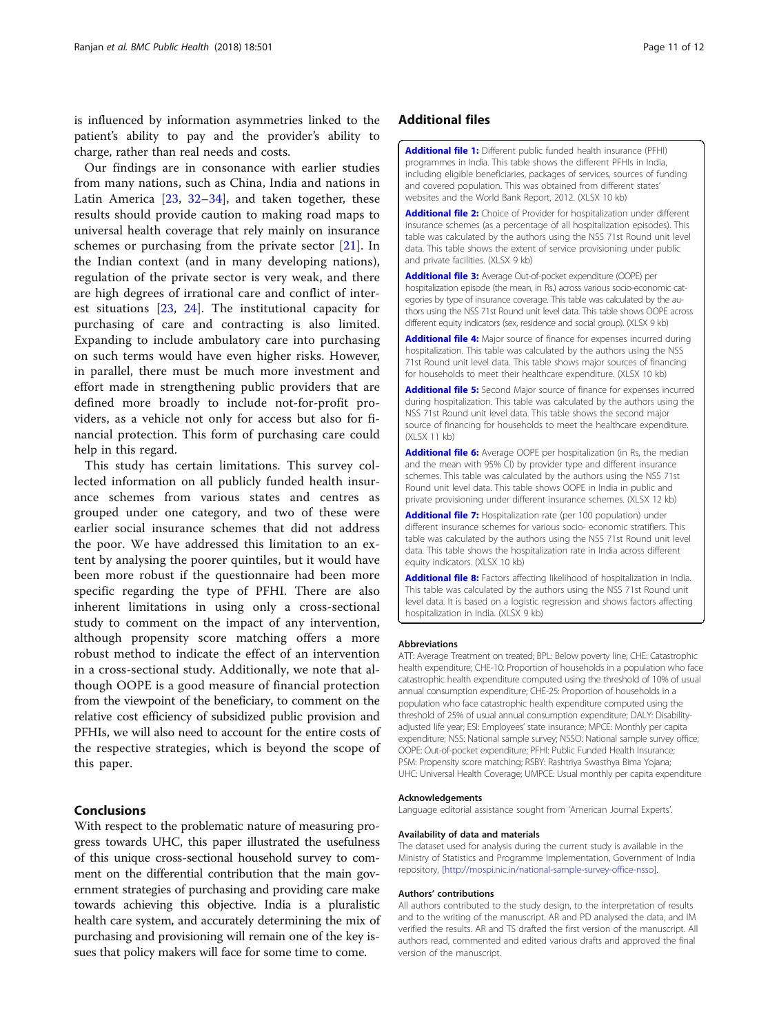<span id="page-10-0"></span>is influenced by information asymmetries linked to the patient's ability to pay and the provider's ability to charge, rather than real needs and costs.

Our findings are in consonance with earlier studies from many nations, such as China, India and nations in Latin America  $[23, 32-34]$  $[23, 32-34]$  $[23, 32-34]$  $[23, 32-34]$  $[23, 32-34]$  $[23, 32-34]$ , and taken together, these results should provide caution to making road maps to universal health coverage that rely mainly on insurance schemes or purchasing from the private sector [[21\]](#page-11-0). In the Indian context (and in many developing nations), regulation of the private sector is very weak, and there are high degrees of irrational care and conflict of interest situations [[23,](#page-11-0) [24\]](#page-11-0). The institutional capacity for purchasing of care and contracting is also limited. Expanding to include ambulatory care into purchasing on such terms would have even higher risks. However, in parallel, there must be much more investment and effort made in strengthening public providers that are defined more broadly to include not-for-profit providers, as a vehicle not only for access but also for financial protection. This form of purchasing care could help in this regard.

This study has certain limitations. This survey collected information on all publicly funded health insurance schemes from various states and centres as grouped under one category, and two of these were earlier social insurance schemes that did not address the poor. We have addressed this limitation to an extent by analysing the poorer quintiles, but it would have been more robust if the questionnaire had been more specific regarding the type of PFHI. There are also inherent limitations in using only a cross-sectional study to comment on the impact of any intervention, although propensity score matching offers a more robust method to indicate the effect of an intervention in a cross-sectional study. Additionally, we note that although OOPE is a good measure of financial protection from the viewpoint of the beneficiary, to comment on the relative cost efficiency of subsidized public provision and PFHIs, we will also need to account for the entire costs of the respective strategies, which is beyond the scope of this paper.

### Conclusions

With respect to the problematic nature of measuring progress towards UHC, this paper illustrated the usefulness of this unique cross-sectional household survey to comment on the differential contribution that the main government strategies of purchasing and providing care make towards achieving this objective. India is a pluralistic health care system, and accurately determining the mix of purchasing and provisioning will remain one of the key issues that policy makers will face for some time to come.

# Additional files

[Additional file 1:](https://doi.org/10.1186/s12889-018-5431-8) Different public funded health insurance (PFHI) programmes in India. This table shows the different PFHIs in India, including eligible beneficiaries, packages of services, sources of funding and covered population. This was obtained from different states' websites and the World Bank Report, 2012. (XLSX 10 kb)

[Additional file 2:](https://doi.org/10.1186/s12889-018-5431-8) Choice of Provider for hospitalization under different insurance schemes (as a percentage of all hospitalization episodes). This table was calculated by the authors using the NSS 71st Round unit level data. This table shows the extent of service provisioning under public and private facilities. (XLSX 9 kb)

[Additional file 3:](https://doi.org/10.1186/s12889-018-5431-8) Average Out-of-pocket expenditure (OOPE) per hospitalization episode (the mean, in Rs.) across various socio-economic categories by type of insurance coverage. This table was calculated by the authors using the NSS 71st Round unit level data. This table shows OOPE across different equity indicators (sex, residence and social group). (XLSX 9 kb)

[Additional file 4:](https://doi.org/10.1186/s12889-018-5431-8) Major source of finance for expenses incurred during hospitalization. This table was calculated by the authors using the NSS 71st Round unit level data. This table shows major sources of financing for households to meet their healthcare expenditure. (XLSX 10 kb)

[Additional file 5:](https://doi.org/10.1186/s12889-018-5431-8) Second Major source of finance for expenses incurred during hospitalization. This table was calculated by the authors using the NSS 71st Round unit level data. This table shows the second major source of financing for households to meet the healthcare expenditure. (XLSX 11 kb)

[Additional file 6:](https://doi.org/10.1186/s12889-018-5431-8) Average OOPE per hospitalization (in Rs, the median and the mean with 95% CI) by provider type and different insurance schemes. This table was calculated by the authors using the NSS 71st Round unit level data. This table shows OOPE in India in public and private provisioning under different insurance schemes. (XLSX 12 kb)

[Additional file 7:](https://doi.org/10.1186/s12889-018-5431-8) Hospitalization rate (per 100 population) under different insurance schemes for various socio- economic stratifiers. This table was calculated by the authors using the NSS 71st Round unit level data. This table shows the hospitalization rate in India across different equity indicators. (XLSX 10 kb)

[Additional file 8:](https://doi.org/10.1186/s12889-018-5431-8) Factors affecting likelihood of hospitalization in India. This table was calculated by the authors using the NSS 71st Round unit level data. It is based on a logistic regression and shows factors affecting hospitalization in India. (XLSX 9 kb)

#### Abbreviations

ATT: Average Treatment on treated; BPL: Below poverty line; CHE: Catastrophic health expenditure; CHE-10: Proportion of households in a population who face catastrophic health expenditure computed using the threshold of 10% of usual annual consumption expenditure; CHE-25: Proportion of households in a population who face catastrophic health expenditure computed using the threshold of 25% of usual annual consumption expenditure; DALY: Disabilityadjusted life year; ESI: Employees' state insurance; MPCE: Monthly per capita expenditure; NSS: National sample survey; NSSO: National sample survey office; OOPE: Out-of-pocket expenditure; PFHI: Public Funded Health Insurance; PSM: Propensity score matching; RSBY: Rashtriya Swasthya Bima Yojana; UHC: Universal Health Coverage; UMPCE: Usual monthly per capita expenditure

#### Acknowledgements

Language editorial assistance sought from 'American Journal Experts'.

#### Availability of data and materials

The dataset used for analysis during the current study is available in the Ministry of Statistics and Programme Implementation, Government of India repository, [\[http://mospi.nic.in/national-sample-survey-office-nsso](http://mospi.nic.in/national-sample-survey-office-nsso)].

#### Authors' contributions

All authors contributed to the study design, to the interpretation of results and to the writing of the manuscript. AR and PD analysed the data, and IM verified the results. AR and TS drafted the first version of the manuscript. All authors read, commented and edited various drafts and approved the final version of the manuscript.